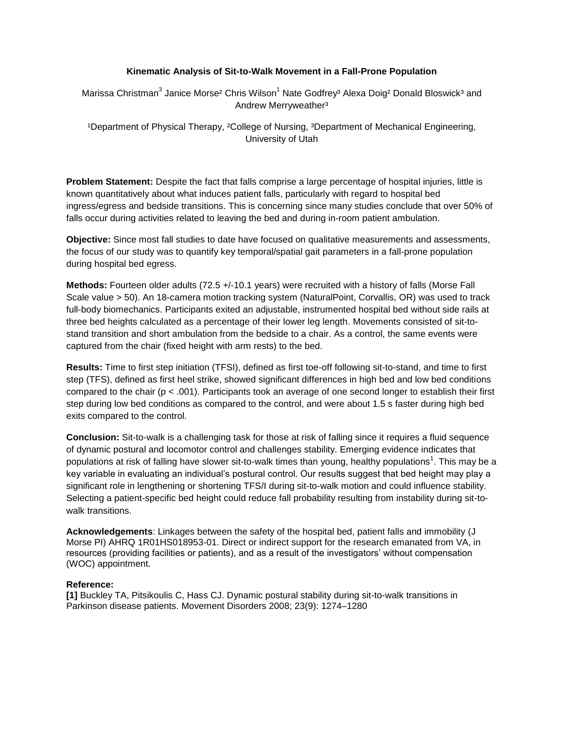## **Kinematic Analysis of Sit-to-Walk Movement in a Fall-Prone Population**

Marissa Christman<sup>3</sup> Janice Morse<sup>2</sup> Chris Wilson<sup>1</sup> Nate Godfrey<sup>3</sup> Alexa Doig<sup>2</sup> Donald Bloswick<sup>3</sup> and Andrew Merryweather<sup>3</sup>

<sup>1</sup>Department of Physical Therapy, <sup>2</sup>College of Nursing, <sup>3</sup>Department of Mechanical Engineering, University of Utah

**Problem Statement:** Despite the fact that falls comprise a large percentage of hospital injuries, little is known quantitatively about what induces patient falls, particularly with regard to hospital bed ingress/egress and bedside transitions. This is concerning since many studies conclude that over 50% of falls occur during activities related to leaving the bed and during in-room patient ambulation.

**Objective:** Since most fall studies to date have focused on qualitative measurements and assessments, the focus of our study was to quantify key temporal/spatial gait parameters in a fall-prone population during hospital bed egress.

**Methods:** Fourteen older adults (72.5 +/-10.1 years) were recruited with a history of falls (Morse Fall Scale value > 50). An 18-camera motion tracking system (NaturalPoint, Corvallis, OR) was used to track full-body biomechanics. Participants exited an adjustable, instrumented hospital bed without side rails at three bed heights calculated as a percentage of their lower leg length. Movements consisted of sit-tostand transition and short ambulation from the bedside to a chair. As a control, the same events were captured from the chair (fixed height with arm rests) to the bed.

**Results:** Time to first step initiation (TFSI), defined as first toe-off following sit-to-stand, and time to first step (TFS), defined as first heel strike, showed significant differences in high bed and low bed conditions compared to the chair (p < .001). Participants took an average of one second longer to establish their first step during low bed conditions as compared to the control, and were about 1.5 s faster during high bed exits compared to the control.

**Conclusion:** Sit-to-walk is a challenging task for those at risk of falling since it requires a fluid sequence of dynamic postural and locomotor control and challenges stability. Emerging evidence indicates that populations at risk of falling have slower sit-to-walk times than young, healthy populations<sup>1</sup>. This may be a key variable in evaluating an individual's postural control. Our results suggest that bed height may play a significant role in lengthening or shortening TFS/I during sit-to-walk motion and could influence stability. Selecting a patient-specific bed height could reduce fall probability resulting from instability during sit-towalk transitions.

**Acknowledgements**: Linkages between the safety of the hospital bed, patient falls and immobility (J Morse PI) AHRQ 1R01HS018953-01. Direct or indirect support for the research emanated from VA, in resources (providing facilities or patients), and as a result of the investigators' without compensation (WOC) appointment.

## **Reference:**

**[1]** Buckley TA, Pitsikoulis C, Hass CJ. Dynamic postural stability during sit-to-walk transitions in Parkinson disease patients. Movement Disorders 2008; 23(9): 1274–1280